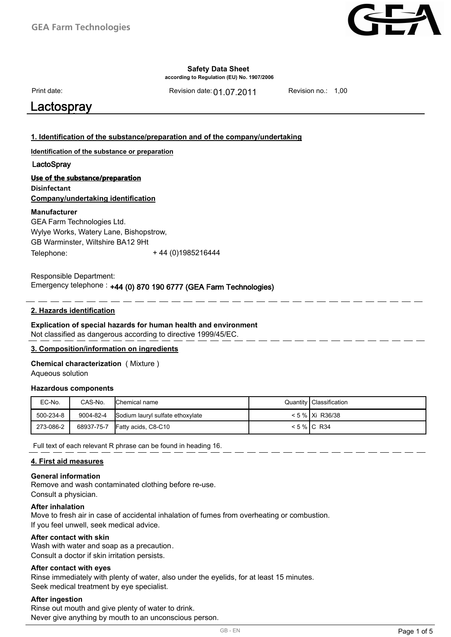

**according to Regulation (EU) No. 1907/2006**

Print date:

Revision date: 01.07.2011 Revision no.: 1,00

## **Salvo** Diplomatic Contractor of the Contractor of the Contractor of the Contractor of the Contractor of the Contractor of the Contractor of the Contractor of the Contractor of the Contractor of the Contractor of the Contr

### **1. Identification of the substance/preparation and of the company/undertaking**

**Identification of the substance or preparation**

### LactoSpray

### **Use of the substance/preparation**

**Disinfectant Company/undertaking identification**

### **Manufacturer**

GEA Farm Technologies Ltd. Wylye Works, Watery Lane, Bishopstrow, GB Warminster, Wiltshire BA12 9Ht Telephone: + 44 (0)1985216444

#### Emergency telephone : +44 (0) 870 190 6777 (GEA Farm Technologies) Responsible Department: +44 (0) 870 190 6777 (GEA Farm Technologies)

### **2. Hazards identification**

### **Explication of special hazards for human health and environment** Not classified as dangerous according to directive 1999/45/EC.

Responsible for the safety data sheet: sds@gbk-ingelheim.de

### **3. Composition/information on ingredients**

## **Chemical characterization** ( Mixture )

Aqueous solution

#### **Hazardous components**

| EC-No.    | CAS-No.   | <b>Chemical name</b>             | Quantity   Classification |
|-----------|-----------|----------------------------------|---------------------------|
| 500-234-8 | 9004-82-4 | Sodium lauryl sulfate ethoxylate | < 5 %   Xi R36/38         |
| 273-086-2 |           | 68937-75-7 Fatty acids, C8-C10   | $< 5$ % IC R34            |

Full text of each relevant R phrase can be found in heading 16.

### **4. First aid measures**

### **General information**

Remove and wash contaminated clothing before re-use. Consult a physician.

### **After inhalation**

Move to fresh air in case of accidental inhalation of fumes from overheating or combustion. If you feel unwell, seek medical advice.

#### **After contact with skin**

Wash with water and soap as a precaution. Consult a doctor if skin irritation persists.

### **After contact with eyes**

Rinse immediately with plenty of water, also under the eyelids, for at least 15 minutes. Seek medical treatment by eye specialist.

### **After ingestion**

Rinse out mouth and give plenty of water to drink. Never give anything by mouth to an unconscious person.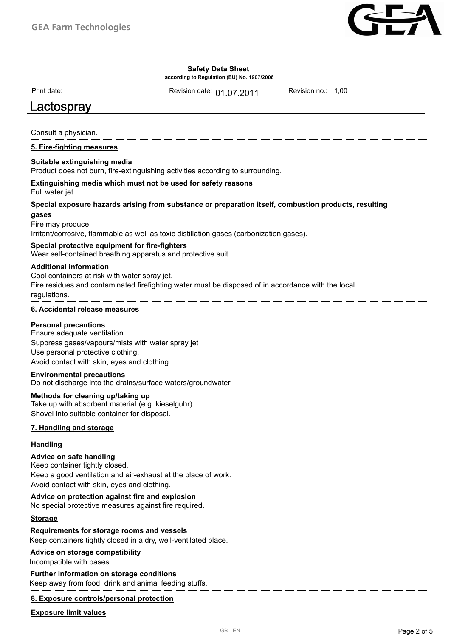

**according to Regulation (EU) No. 1907/2006**

Print date:

Revision date: 01.07.2011 Revision no.: 1,00

# **Salvo Diplomack Construction Construction Construction Construction Construction Construction Construction Const**

Consult a physician.

### **5. Fire-fighting measures**

### **Suitable extinguishing media**

Product does not burn, fire-extinguishing activities according to surrounding.

### Full water jet. **Extinguishing media which must not be used for safety reasons**

### **Special exposure hazards arising from substance or preparation itself, combustion products, resulting gases**

Fire may produce:

Irritant/corrosive, flammable as well as toxic distillation gases (carbonization gases).

### **Special protective equipment for fire-fighters**

Wear self-contained breathing apparatus and protective suit.

### **Additional information**

Cool containers at risk with water spray jet. Fire residues and contaminated firefighting water must be disposed of in accordance with the local regulations.

### **6. Accidental release measures**

### **Personal precautions**

Ensure adequate ventilation. Suppress gases/vapours/mists with water spray jet Use personal protective clothing. Avoid contact with skin, eyes and clothing.

### **Environmental precautions**

Do not discharge into the drains/surface waters/groundwater.

### **Methods for cleaning up/taking up**

Take up with absorbent material (e.g. kieselguhr). Shovel into suitable container for disposal.

### **7. Handling and storage**

### **Handling**

### **Advice on safe handling**

Keep container tightly closed. Keep a good ventilation and air-exhaust at the place of work. Avoid contact with skin, eyes and clothing.

### **Advice on protection against fire and explosion**

No special protective measures against fire required.

### **Storage**

### **Requirements for storage rooms and vessels**

Keep containers tightly closed in a dry, well-ventilated place.

### **Advice on storage compatibility**

Incompatible with bases.

## **Further information on storage conditions**

Keep away from food, drink and animal feeding stuffs.

### **8. Exposure controls/personal protection**

### **Exposure limit values**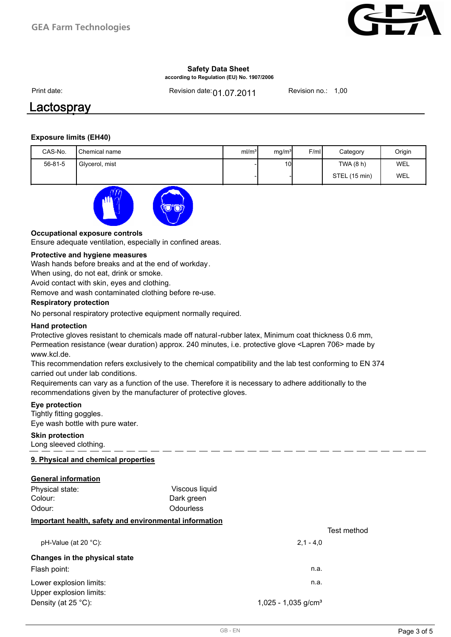

**according to Regulation (EU) No. 1907/2006**

Print date:

Revision date: **01.07.2011** Revision no.: 1,00

## Lactospray **Salvo Diploma 11194-11194-1111-1111-1111**

### **Exposure limits (EH40)**

| CAS-No.       | Chemical name  | ml/m <sup>3</sup> | mg/m <sup>3</sup> | F/ml | Category      | Origin |
|---------------|----------------|-------------------|-------------------|------|---------------|--------|
| $56 - 81 - 5$ | Glycerol, mist |                   | 10 <sub>l</sub>   |      | TWA (8 h)     | WEL    |
|               |                |                   |                   |      | STEL (15 min) | WEL    |



### **Occupational exposure controls**

Ensure adequate ventilation, especially in confined areas.

### **Protective and hygiene measures**

Wash hands before breaks and at the end of workday.

When using, do not eat, drink or smoke.

Avoid contact with skin, eyes and clothing.

Remove and wash contaminated clothing before re-use.

### **Respiratory protection**

No personal respiratory protective equipment normally required.

### **Hand protection**

Protective gloves resistant to chemicals made off natural-rubber latex, Minimum coat thickness 0.6 mm, Permeation resistance (wear duration) approx. 240 minutes, i.e. protective glove <Lapren 706> made by www.kcl.de.

This recommendation refers exclusively to the chemical compatibility and the lab test conforming to EN 374 carried out under lab conditions.

Requirements can vary as a function of the use. Therefore it is necessary to adhere additionally to the recommendations given by the manufacturer of protective gloves.

### **Eye protection**

Tightly fitting goggles. Eye wash bottle with pure water.

### **Skin protection**

Long sleeved clothing.

### **9. Physical and chemical properties**

### **General information**

| Physical state:<br>Colour:                             | Viscous liquid<br>Dark green |                                 |             |
|--------------------------------------------------------|------------------------------|---------------------------------|-------------|
| Odour:                                                 | <b>Odourless</b>             |                                 |             |
| Important health, safety and environmental information |                              |                                 |             |
|                                                        |                              |                                 | Test method |
| $pH-Value$ (at 20 °C):                                 |                              | $2.1 - 4.0$                     |             |
| Changes in the physical state                          |                              |                                 |             |
| Flash point:                                           |                              | n.a.                            |             |
| Lower explosion limits:                                |                              | n.a.                            |             |
| Upper explosion limits:                                |                              |                                 |             |
| Density (at $25^{\circ}$ C):                           |                              | 1,025 - 1,035 g/cm <sup>3</sup> |             |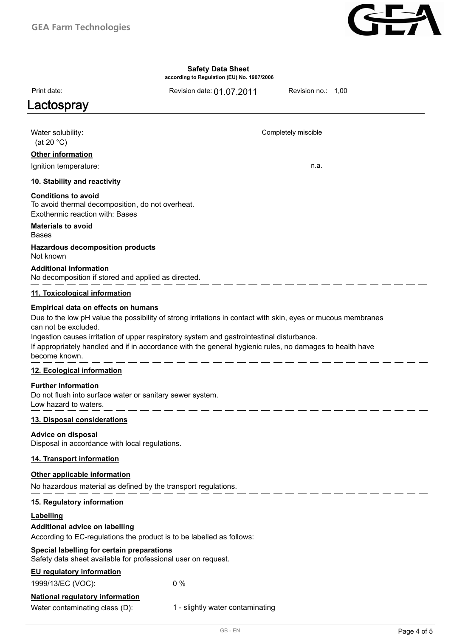

**according to Regulation (EU) No. 1907/2006**

Revision date: 01.07.2011 Revision no.: 1,00

Completely miscible

# **Lactospray and the set of the set of the set of the set of the set of the set of the set of the set of the set o**

Print date:

Water solubility: (at 20 °C)

### **Other information**

Ignition temperature: n.a.

### **10. Stability and reactivity**

### **Conditions to avoid**

To avoid thermal decomposition, do not overheat. Exothermic reaction with: Bases

#### Bases **Materials to avoid**

### Not known **Hazardous decomposition products**

**Additional information**

No decomposition if stored and applied as directed.

### **11. Toxicological information**

### **Empirical data on effects on humans**

Due to the low pH value the possibility of strong irritations in contact with skin, eyes or mucous membranes can not be excluded. Ingestion causes irritation of upper respiratory system and gastrointestinal disturbance.

If appropriately handled and if in accordance with the general hygienic rules, no damages to health have become known.

### **12. Ecological information**

### **Further information**

Do not flush into surface water or sanitary sewer system. Low hazard to waters.

### **13. Disposal considerations**

### **Advice on disposal**

Disposal in accordance with local regulations.

### **14. Transport information**

### **Other applicable information**

No hazardous material as defined by the transport regulations.

### **15. Regulatory information**

### **Labelling**

**Additional advice on labelling**

According to EC-regulations the product is to be labelled as follows:

### **Special labelling for certain preparations**

Safety data sheet available for professional user on request.

### **EU regulatory information**

1999/13/EC (VOC): 0 %

### **National regulatory information**

Water contaminating class (D): 1 - slightly water contaminating